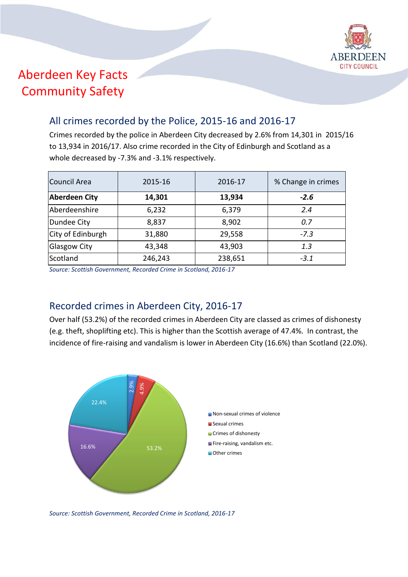

# Aberdeen Key Facts Community Safety

#### All crimes recorded by the Police, 2015-16 and 2016-17

Crimes recorded by the police in Aberdeen City decreased by 2.6% from 14,301 in 2015/16 to 13,934 in 2016/17. Also crime recorded in the City of Edinburgh and Scotland as a whole decreased by -7.3% and -3.1% respectively.

| Council Area         | 2015-16 | 2016-17 | % Change in crimes |  |
|----------------------|---------|---------|--------------------|--|
| <b>Aberdeen City</b> | 14,301  | 13,934  | $-2.6$             |  |
| Aberdeenshire        | 6,232   | 6,379   | 2.4                |  |
| Dundee City          | 8,837   | 8,902   | 0.7                |  |
| City of Edinburgh    | 31,880  | 29,558  | $-7.3$             |  |
| Glasgow City         | 43,348  | 43,903  | 1.3                |  |
| Scotland             | 246,243 | 238,651 | $-3.1$             |  |

*Source: Scottish Government, Recorded Crime in Scotland, 2016-17*

### Recorded crimes in Aberdeen City, 2016-17

Over half (53.2%) of the recorded crimes in Aberdeen City are classed as crimes of dishonesty (e.g. theft, shoplifting etc). This is higher than the Scottish average of 47.4%. In contrast, the incidence of fire-raising and vandalism is lower in Aberdeen City (16.6%) than Scotland (22.0%).



*Source: Scottish Government, Recorded Crime in Scotland, 2016-17*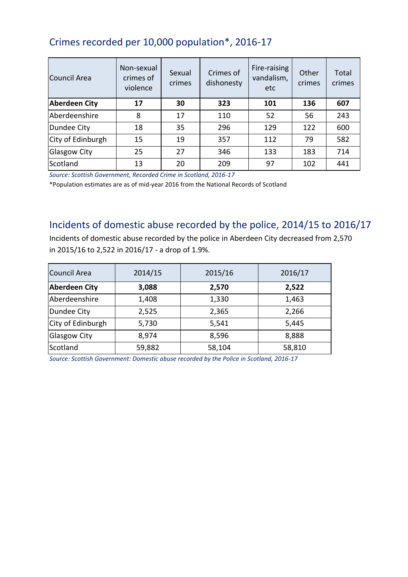## Crimes recorded per 10,000 population\*, 2016-17

| Council Area         | Non-sexual<br>crimes of<br>violence | Sexual<br>crimes | Crimes of<br>dishonesty | Fire-raising<br>vandalism,<br>etc | Other<br>crimes | Total<br>crimes |
|----------------------|-------------------------------------|------------------|-------------------------|-----------------------------------|-----------------|-----------------|
| <b>Aberdeen City</b> | 17                                  | 30               | 323                     | 101                               | 136             | 607             |
| Aberdeenshire        | 8                                   | 17               | 110                     | 52                                | 56              | 243             |
| Dundee City          | 18                                  | 35               | 296                     | 129                               | 122             | 600             |
| City of Edinburgh    | 15                                  | 19               | 357                     | 112                               | 79              | 582             |
| <b>Glasgow City</b>  | 25                                  | 27               | 346                     | 133                               | 183             | 714             |
| Scotland             | 13                                  | 20               | 209                     | 97                                | 102             | 441             |

*Source: Scottish Government, Recorded Crime in Scotland, 2016-17*

\*Population estimates are as of mid-year 2016 from the National Records of Scotland

#### Incidents of domestic abuse recorded by the police, 2014/15 to 2016/17

Incidents of domestic abuse recorded by the police in Aberdeen City decreased from 2,570 in 2015/16 to 2,522 in 2016/17 - a drop of 1.9%.

| Council Area         | 2014/15 | 2015/16 | 2016/17 |
|----------------------|---------|---------|---------|
| <b>Aberdeen City</b> | 3,088   | 2,570   | 2,522   |
| Aberdeenshire        | 1,408   | 1,330   | 1,463   |
| Dundee City          | 2,525   | 2,365   | 2,266   |
| City of Edinburgh    | 5,730   | 5,541   | 5,445   |
| <b>Glasgow City</b>  | 8,974   | 8,596   | 8,888   |
| Scotland             | 59,882  | 58,104  | 58,810  |

*Source: Scottish Government: Domestic abuse recorded by the Police in Scotland, 2016-17*